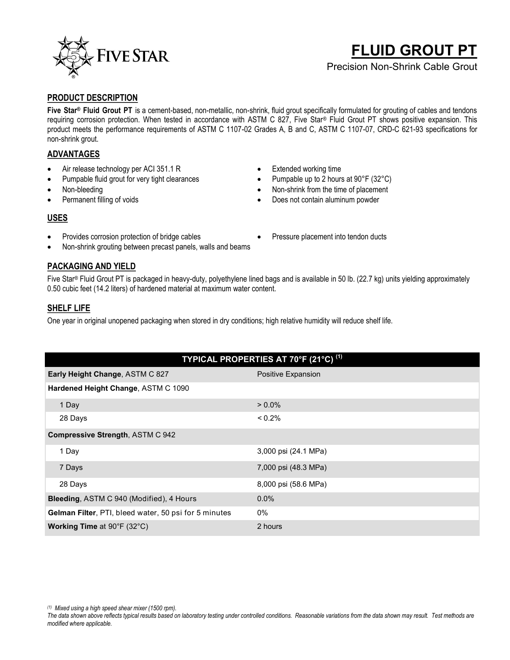

# **FLUID GROUT PT**

Precision Non-Shrink Cable Grout

#### **PRODUCT DESCRIPTION**

**Five Star® Fluid Grout PT** is a cement-based, non-metallic, non-shrink, fluid grout specifically formulated for grouting of cables and tendons requiring corrosion protection. When tested in accordance with ASTM C 827, Five Star® Fluid Grout PT shows positive expansion. This product meets the performance requirements of ASTM C 1107-02 Grades A, B and C, ASTM C 1107-07, CRD-C 621-93 specifications for non-shrink grout.

# **ADVANTAGES**

- Air release technology per ACI 351.1 R
- Pumpable fluid grout for very tight clearances
- Non-bleeding
- Permanent filling of voids
- Extended working time
- Pumpable up to 2 hours at 90°F (32°C)
- Non-shrink from the time of placement
- Does not contain aluminum powder

# **USES**

- Provides corrosion protection of bridge cables
- Non-shrink grouting between precast panels, walls and beams

# **PACKAGING AND YIELD**

Five Star® Fluid Grout PT is packaged in heavy-duty, polyethylene lined bags and is available in 50 lb. (22.7 kg) units yielding approximately 0.50 cubic feet (14.2 liters) of hardened material at maximum water content.

#### **SHELF LIFE**

One year in original unopened packaging when stored in dry conditions; high relative humidity will reduce shelf life.

| TYPICAL PROPERTIES AT 70°F (21°C) <sup>(1)</sup>             |                      |  |
|--------------------------------------------------------------|----------------------|--|
| Early Height Change, ASTM C 827                              | Positive Expansion   |  |
| Hardened Height Change, ASTM C 1090                          |                      |  |
| 1 Day                                                        | $> 0.0\%$            |  |
| 28 Days                                                      | $< 0.2\%$            |  |
| <b>Compressive Strength, ASTM C 942</b>                      |                      |  |
| 1 Day                                                        | 3,000 psi (24.1 MPa) |  |
| 7 Days                                                       | 7,000 psi (48.3 MPa) |  |
| 28 Days                                                      | 8,000 psi (58.6 MPa) |  |
| <b>Bleeding, ASTM C 940 (Modified), 4 Hours</b>              | 0.0%                 |  |
| <b>Gelman Filter, PTI, bleed water, 50 psi for 5 minutes</b> | 0%                   |  |
| <b>Working Time at 90°F (32°C)</b>                           | 2 hours              |  |

*(1) Mixed using a high speed shear mixer (1500 rpm).*

Pressure placement into tendon ducts

*The data shown above reflects typical results based on laboratory testing under controlled conditions. Reasonable variations from the data shown may result. Test methods are modified where applicable.*